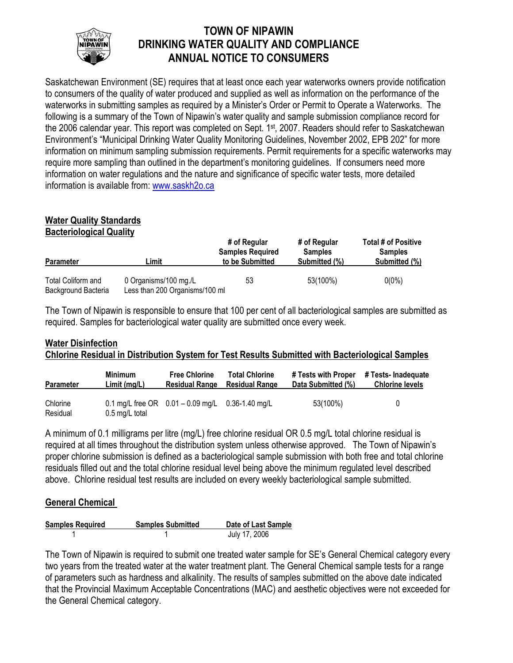

# **TOWN OF NIPAWIN DRINKING WATER QUALITY AND COMPLIANCE ANNUAL NOTICE TO CONSUMERS**

Saskatchewan Environment (SE) requires that at least once each year waterworks owners provide notification to consumers of the quality of water produced and supplied as well as information on the performance of the waterworks in submitting samples as required by a Minister's Order or Permit to Operate a Waterworks. The following is a summary of the Town of Nipawin's water quality and sample submission compliance record for the 2006 calendar year. This report was completed on Sept. 1<sup>st</sup>, 2007. Readers should refer to Saskatchewan Environment's "Municipal Drinking Water Quality Monitoring Guidelines, November 2002, EPB 202" for more information on minimum sampling submission requirements. Permit requirements for a specific waterworks may require more sampling than outlined in the department's monitoring guidelines. If consumers need more information on water regulations and the nature and significance of specific water tests, more detailed information is available from: www.saskh2o.ca

#### **Water Quality Standards Bacteriological Quality**

| <b>Parameter</b>                          | ∟imit                                                   | # of Regular<br><b>Samples Required</b><br>to be Submitted | # of Regular<br><b>Samples</b><br>Submitted (%) | <b>Total # of Positive</b><br><b>Samples</b><br>Submitted (%) |  |
|-------------------------------------------|---------------------------------------------------------|------------------------------------------------------------|-------------------------------------------------|---------------------------------------------------------------|--|
|                                           |                                                         |                                                            |                                                 |                                                               |  |
| Total Coliform and<br>Background Bacteria | 0 Organisms/100 mg./L<br>Less than 200 Organisms/100 ml | 53                                                         | 53(100%)                                        | $0(0\%)$                                                      |  |

The Town of Nipawin is responsible to ensure that 100 per cent of all bacteriological samples are submitted as required. Samples for bacteriological water quality are submitted once every week.

# **Water Disinfection Chlorine Residual in Distribution System for Test Results Submitted with Bacteriological Samples**

| <b>Parameter</b>     | <b>Minimum</b> | <b>Free Chlorine</b>                                   | <b>Total Chlorine</b> | # Tests with Proper | # Tests- Inadeguate    |
|----------------------|----------------|--------------------------------------------------------|-----------------------|---------------------|------------------------|
|                      | Limit(mg/L)    | <b>Residual Range</b>                                  | <b>Residual Range</b> | Data Submitted (%)  | <b>Chlorine levels</b> |
| Chlorine<br>Residual | 0.5 mg/L total | 0.1 mg/L free OR $0.01 - 0.09$ mg/L $0.36 - 1.40$ mg/L |                       | 53(100%)            | U                      |

A minimum of 0.1 milligrams per litre (mg/L) free chlorine residual OR 0.5 mg/L total chlorine residual is required at all times throughout the distribution system unless otherwise approved. The Town of Nipawin's proper chlorine submission is defined as a bacteriological sample submission with both free and total chlorine residuals filled out and the total chlorine residual level being above the minimum regulated level described above. Chlorine residual test results are included on every weekly bacteriological sample submitted.

## **General Chemical**

| <b>Samples Required</b> | <b>Samples Submitted</b> | Date of Last Sample |
|-------------------------|--------------------------|---------------------|
|                         |                          | July 17, 2006       |

The Town of Nipawin is required to submit one treated water sample for SE's General Chemical category every two years from the treated water at the water treatment plant. The General Chemical sample tests for a range of parameters such as hardness and alkalinity. The results of samples submitted on the above date indicated that the Provincial Maximum Acceptable Concentrations (MAC) and aesthetic objectives were not exceeded for the General Chemical category.